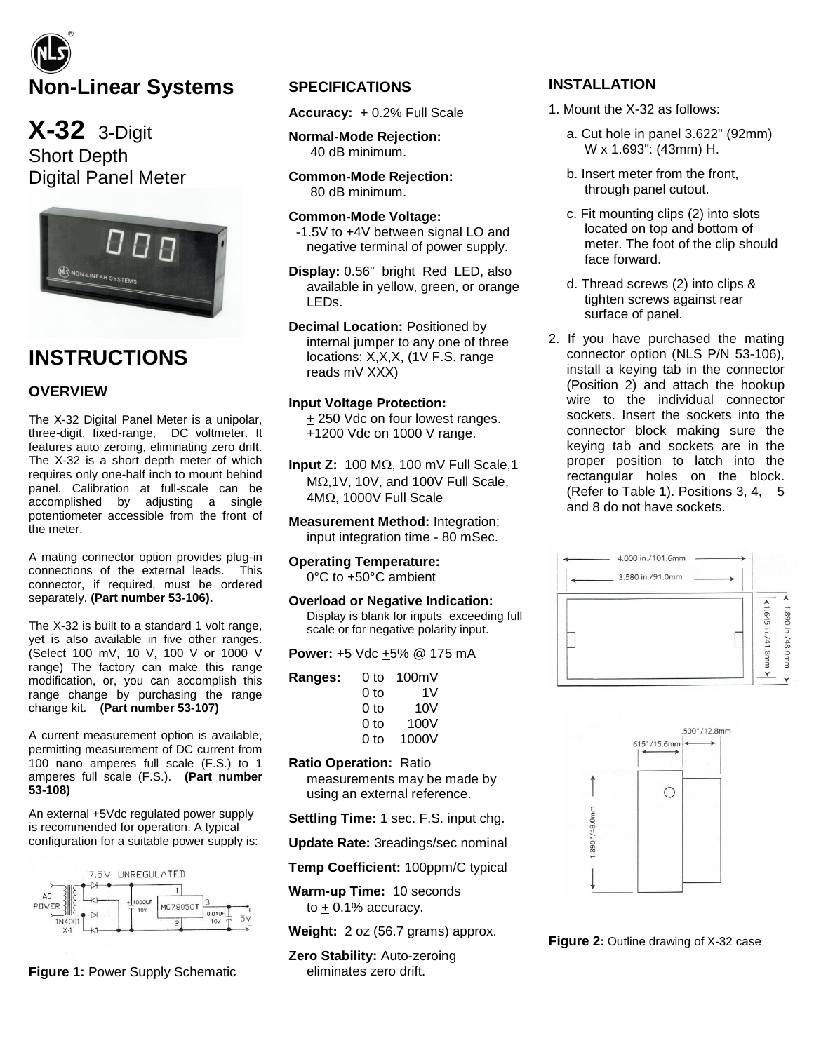# **Non-Linear Systems**

**X-32** 3-Digit Short Depth Digital Panel Meter



# **INSTRUCTIONS**

# **OVERVIEW**

The X-32 Digital Panel Meter is a unipolar, three-digit, fixed-range, DC voltmeter. It features auto zeroing, eliminating zero drift. The X-32 is a short depth meter of which requires only one-half inch to mount behind panel. Calibration at full-scale can be accomplished by adjusting a single potentiometer accessible from the front of the meter.

A mating connector option provides plug-in connections of the external leads. This connector, if required, must be ordered separately. **(Part number 53-106).** 

The X-32 is built to a standard 1 volt range, yet is also available in five other ranges. (Select 100 mV, 10 V, 100 V or 1000 V range) The factory can make this range modification, or, you can accomplish this range change by purchasing the range change kit. **(Part number 53-107)**

A current measurement option is available, permitting measurement of DC current from 100 nano amperes full scale (F.S.) to 1 amperes full scale (F.S.). **(Part number 53-108)**

An external +5Vdc regulated power supply is recommended for operation. A typical configuration for a suitable power supply is:



**Figure 1:** Power Supply Schematic

# **SPECIFICATIONS**

**Accuracy:** + 0.2% Full Scale

**Normal-Mode Rejection:** 40 dB minimum.

**Common-Mode Rejection:** 80 dB minimum.

**Common-Mode Voltage:**  -1.5V to +4V between signal LO and negative terminal of power supply.

**Display:** 0.56" bright Red LED, also available in yellow, green, or orange LEDs.

**Decimal Location:** Positioned by internal jumper to any one of three locations: X,X,X, (1V F.S. range reads mV XXX)

## **Input Voltage Protection:**

+ 250 Vdc on four lowest ranges. +1200 Vdc on 1000 V range.

**Input Z:**  $100 \text{ M}\Omega$ ,  $100 \text{ mV}$  Full Scale, 1  $M<sub>2</sub>,1V$ , 10V, and 100V Full Scale,  $4M<sub>\Omega</sub>$ , 1000V Full Scale

**Measurement Method:** Integration; input integration time - 80 mSec.

# **Operating Temperature:**

0°C to +50°C ambient

#### **Overload or Negative Indication:**

Display is blank for inputs exceeding full scale or for negative polarity input.

**Power: +5 Vdc**  $\pm$ **5% @ 175 mA** 

| Ranges: | 0 to | 100mV |
|---------|------|-------|
|         | 0 to | 1V    |
|         | 0 to | 10V   |
|         | 0 to | 100V  |
|         | 0 to | 1000V |

#### **Ratio Operation:** Ratio

measurements may be made by using an external reference.

**Settling Time:** 1 sec. F.S. input chg.

**Update Rate:** 3readings/sec nominal

**Temp Coefficient:** 100ppm/C typical

**Warm-up Time:** 10 seconds to  $+0.1\%$  accuracy.

**Weight:** 2 oz (56.7 grams) approx.

**Zero Stability:** Auto-zeroing eliminates zero drift.

# **INSTALLATION**

- 1. Mount the X-32 as follows:
	- a. Cut hole in panel 3.622" (92mm) W x 1.693": (43mm) H.
	- b. Insert meter from the front, through panel cutout.
	- c. Fit mounting clips (2) into slots located on top and bottom of meter. The foot of the clip should face forward.
	- d. Thread screws (2) into clips & tighten screws against rear surface of panel.
- 2. If you have purchased the mating connector option (NLS P/N 53-106), install a keying tab in the connector (Position 2) and attach the hookup wire to the individual connector sockets. Insert the sockets into the connector block making sure the keying tab and sockets are in the proper position to latch into the rectangular holes on the block. (Refer to Table 1). Positions 3, 4, 5 and 8 do not have sockets.





**Figure 2:** Outline drawing of X-32 case